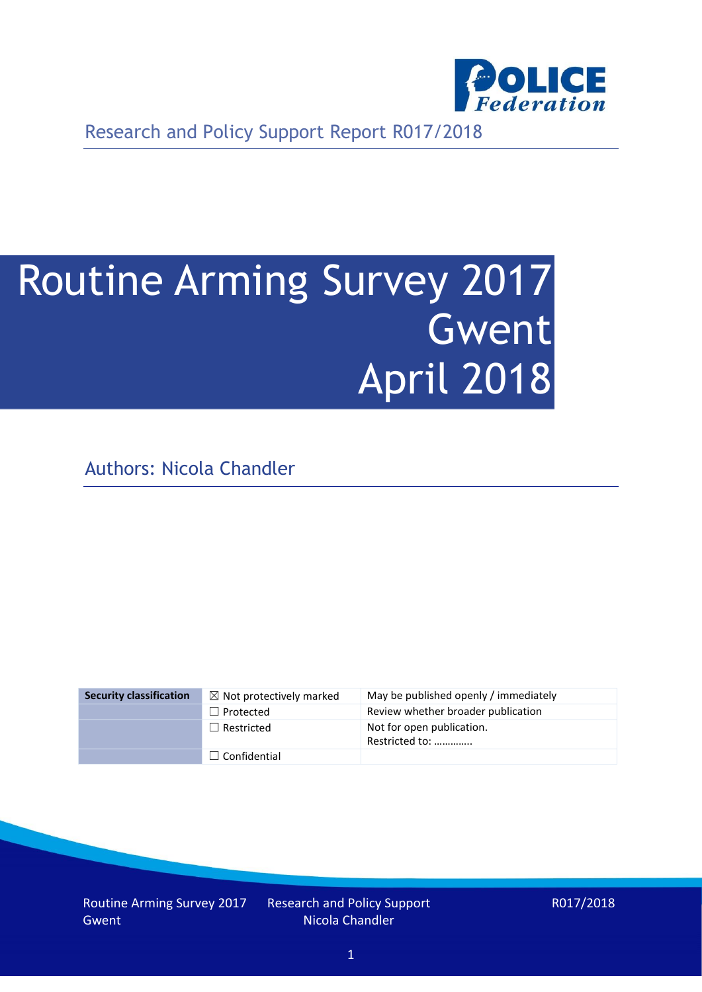

Research and Policy Support Report R017/2018

# Routine Arming Survey 2017 Gwent April 2018

Authors: Nicola Chandler

| <b>Security classification</b> | $\boxtimes$ Not protectively marked | May be published openly / immediately       |
|--------------------------------|-------------------------------------|---------------------------------------------|
|                                | $\Box$ Protected                    | Review whether broader publication          |
|                                | $\Box$ Restricted                   | Not for open publication.<br>Restricted to: |
|                                | $\Box$ Confidential                 |                                             |

Routine Arming Survey 2017 Gwent

Research and Policy Support Nicola Chandler

R017/2018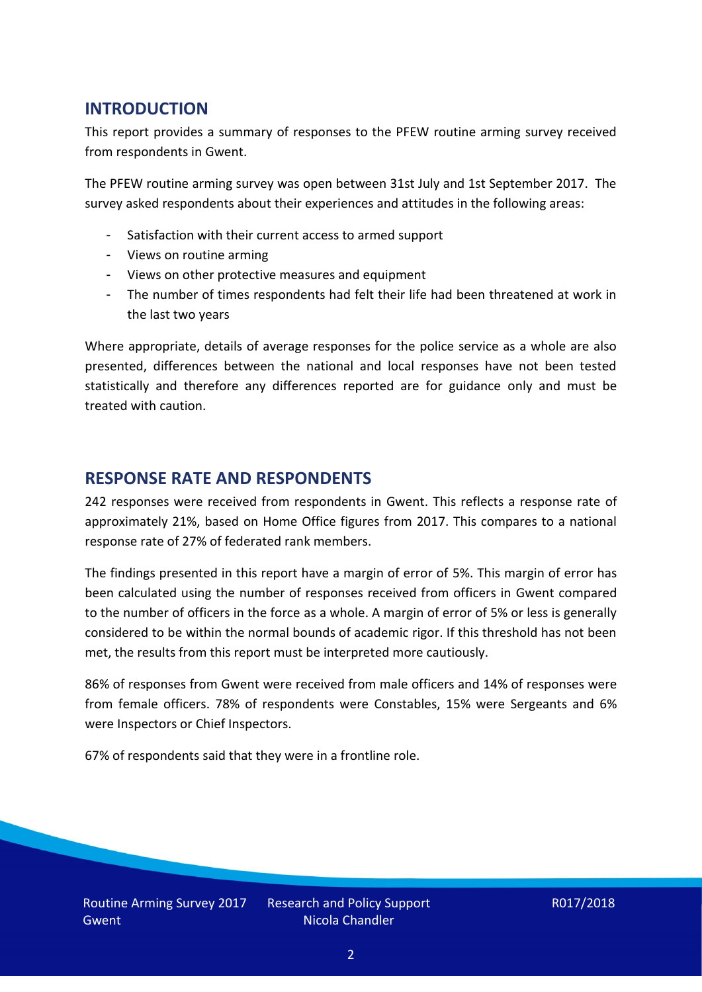## **INTRODUCTION**

This report provides a summary of responses to the PFEW routine arming survey received from respondents in Gwent.

The PFEW routine arming survey was open between 31st July and 1st September 2017. The survey asked respondents about their experiences and attitudes in the following areas:

- Satisfaction with their current access to armed support
- Views on routine arming
- Views on other protective measures and equipment
- The number of times respondents had felt their life had been threatened at work in the last two years

Where appropriate, details of average responses for the police service as a whole are also presented, differences between the national and local responses have not been tested statistically and therefore any differences reported are for guidance only and must be treated with caution.

## **RESPONSE RATE AND RESPONDENTS**

242 responses were received from respondents in Gwent. This reflects a response rate of approximately 21%, based on Home Office figures from 2017. This compares to a national response rate of 27% of federated rank members.

The findings presented in this report have a margin of error of 5%. This margin of error has been calculated using the number of responses received from officers in Gwent compared to the number of officers in the force as a whole. A margin of error of 5% or less is generally considered to be within the normal bounds of academic rigor. If this threshold has not been met, the results from this report must be interpreted more cautiously.

86% of responses from Gwent were received from male officers and 14% of responses were from female officers. 78% of respondents were Constables, 15% were Sergeants and 6% were Inspectors or Chief Inspectors.

67% of respondents said that they were in a frontline role.

Research and Policy Support Nicola Chandler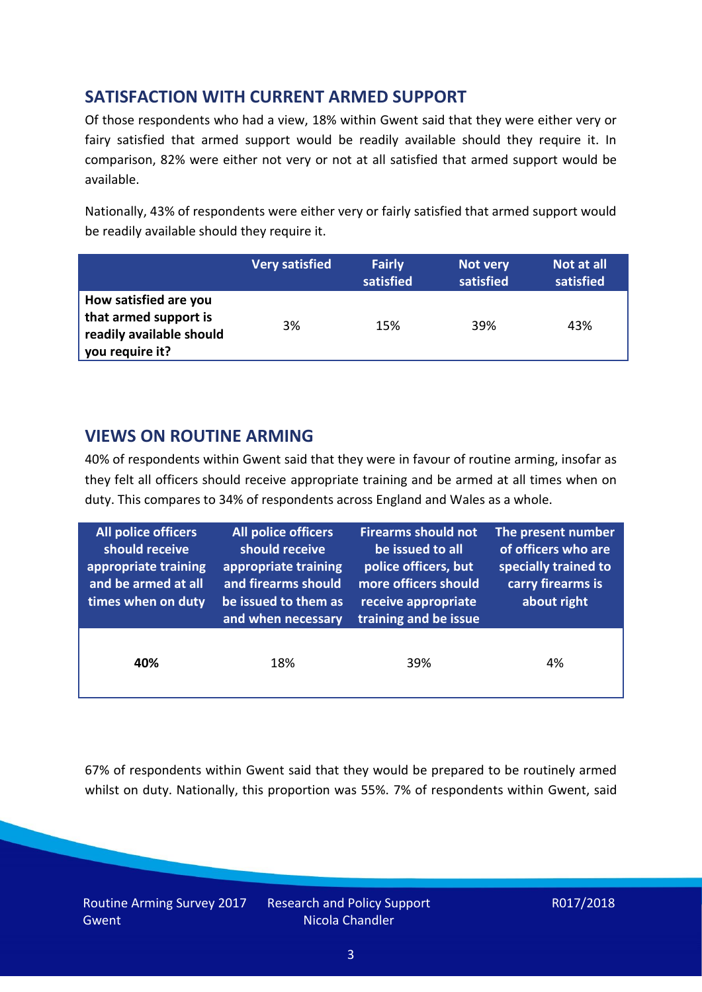# **SATISFACTION WITH CURRENT ARMED SUPPORT**

Of those respondents who had a view, 18% within Gwent said that they were either very or fairy satisfied that armed support would be readily available should they require it. In comparison, 82% were either not very or not at all satisfied that armed support would be available.

Nationally, 43% of respondents were either very or fairly satisfied that armed support would be readily available should they require it.

|                                                                                               | <b>Very satisfied</b> | <b>Fairly</b><br>satisfied | Not very<br>satisfied | Not at all<br>satisfied |
|-----------------------------------------------------------------------------------------------|-----------------------|----------------------------|-----------------------|-------------------------|
| How satisfied are you<br>that armed support is<br>readily available should<br>you require it? | 3%                    | 15%                        | 39%                   | 43%                     |

## **VIEWS ON ROUTINE ARMING**

40% of respondents within Gwent said that they were in favour of routine arming, insofar as they felt all officers should receive appropriate training and be armed at all times when on duty. This compares to 34% of respondents across England and Wales as a whole.

| All police officers<br>should receive<br>appropriate training<br>and be armed at all<br>times when on duty | All police officers<br>should receive<br>appropriate training<br>and firearms should<br>be issued to them as<br>and when necessary | <b>Firearms should not</b><br>be issued to all<br>police officers, but<br>more officers should<br>receive appropriate<br>training and be issue | The present number<br>of officers who are<br>specially trained to<br>carry firearms is<br>about right |  |
|------------------------------------------------------------------------------------------------------------|------------------------------------------------------------------------------------------------------------------------------------|------------------------------------------------------------------------------------------------------------------------------------------------|-------------------------------------------------------------------------------------------------------|--|
| 40%                                                                                                        | 18%                                                                                                                                | 39%                                                                                                                                            | 4%                                                                                                    |  |

67% of respondents within Gwent said that they would be prepared to be routinely armed whilst on duty. Nationally, this proportion was 55%. 7% of respondents within Gwent, said

Routine Arming Survey 2017 Gwent

Research and Policy Support Nicola Chandler

R017/2018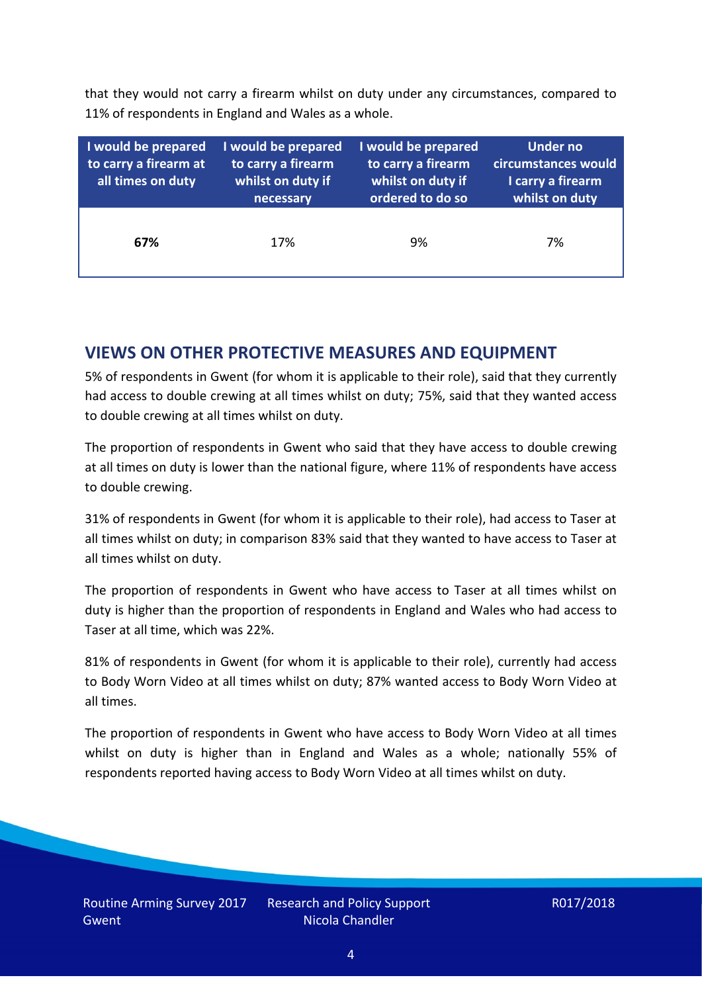that they would not carry a firearm whilst on duty under any circumstances, compared to 11% of respondents in England and Wales as a whole.

| I would be prepared<br>to carry a firearm at<br>all times on duty | I would be prepared<br>to carry a firearm<br>whilst on duty if<br>necessary | I would be prepared<br>to carry a firearm<br>whilst on duty if<br>ordered to do so | <b>Under no</b><br>circumstances would<br>I carry a firearm<br>whilst on duty |
|-------------------------------------------------------------------|-----------------------------------------------------------------------------|------------------------------------------------------------------------------------|-------------------------------------------------------------------------------|
| 67%                                                               | 17%                                                                         | 9%                                                                                 | 7%                                                                            |

## **VIEWS ON OTHER PROTECTIVE MEASURES AND EQUIPMENT**

5% of respondents in Gwent (for whom it is applicable to their role), said that they currently had access to double crewing at all times whilst on duty; 75%, said that they wanted access to double crewing at all times whilst on duty.

The proportion of respondents in Gwent who said that they have access to double crewing at all times on duty is lower than the national figure, where 11% of respondents have access to double crewing.

31% of respondents in Gwent (for whom it is applicable to their role), had access to Taser at all times whilst on duty; in comparison 83% said that they wanted to have access to Taser at all times whilst on duty.

The proportion of respondents in Gwent who have access to Taser at all times whilst on duty is higher than the proportion of respondents in England and Wales who had access to Taser at all time, which was 22%.

81% of respondents in Gwent (for whom it is applicable to their role), currently had access to Body Worn Video at all times whilst on duty; 87% wanted access to Body Worn Video at all times.

The proportion of respondents in Gwent who have access to Body Worn Video at all times whilst on duty is higher than in England and Wales as a whole; nationally 55% of respondents reported having access to Body Worn Video at all times whilst on duty.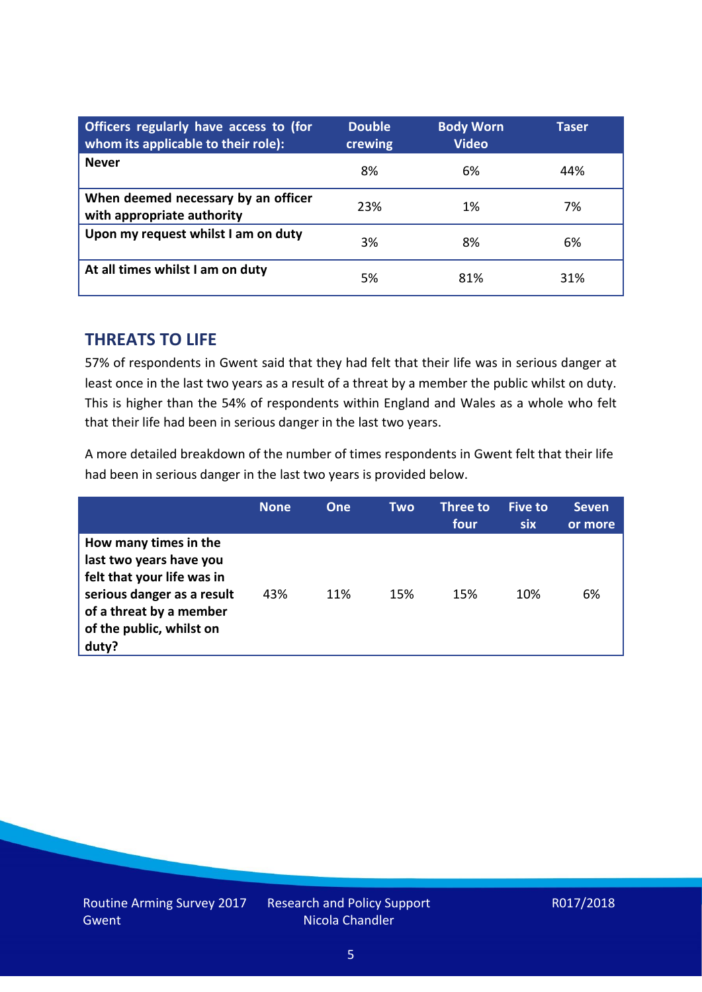| Officers regularly have access to (for<br>whom its applicable to their role): | <b>Double</b><br>crewing | <b>Body Worn</b><br><b>Video</b> | Taser |
|-------------------------------------------------------------------------------|--------------------------|----------------------------------|-------|
| <b>Never</b>                                                                  | 8%                       | 6%                               | 44%   |
| When deemed necessary by an officer<br>with appropriate authority             | 23%                      | 1%                               | 7%    |
| Upon my request whilst I am on duty                                           | 3%                       | 8%                               | 6%    |
| At all times whilst I am on duty                                              | 5%                       | 81%                              | 31%   |

## **THREATS TO LIFE**

57% of respondents in Gwent said that they had felt that their life was in serious danger at least once in the last two years as a result of a threat by a member the public whilst on duty. This is higher than the 54% of respondents within England and Wales as a whole who felt that their life had been in serious danger in the last two years.

A more detailed breakdown of the number of times respondents in Gwent felt that their life had been in serious danger in the last two years is provided below.

|                                                                                                                                                                              | <b>None</b> | <b>One</b> | Two | Three to<br>four | <b>Five to</b><br><b>six</b> | <b>Seven</b><br>or more |
|------------------------------------------------------------------------------------------------------------------------------------------------------------------------------|-------------|------------|-----|------------------|------------------------------|-------------------------|
| How many times in the<br>last two years have you<br>felt that your life was in<br>serious danger as a result<br>of a threat by a member<br>of the public, whilst on<br>duty? | 43%         | 11%        | 15% | 15%              | 10%                          | 6%                      |

Research and Policy Support Nicola Chandler